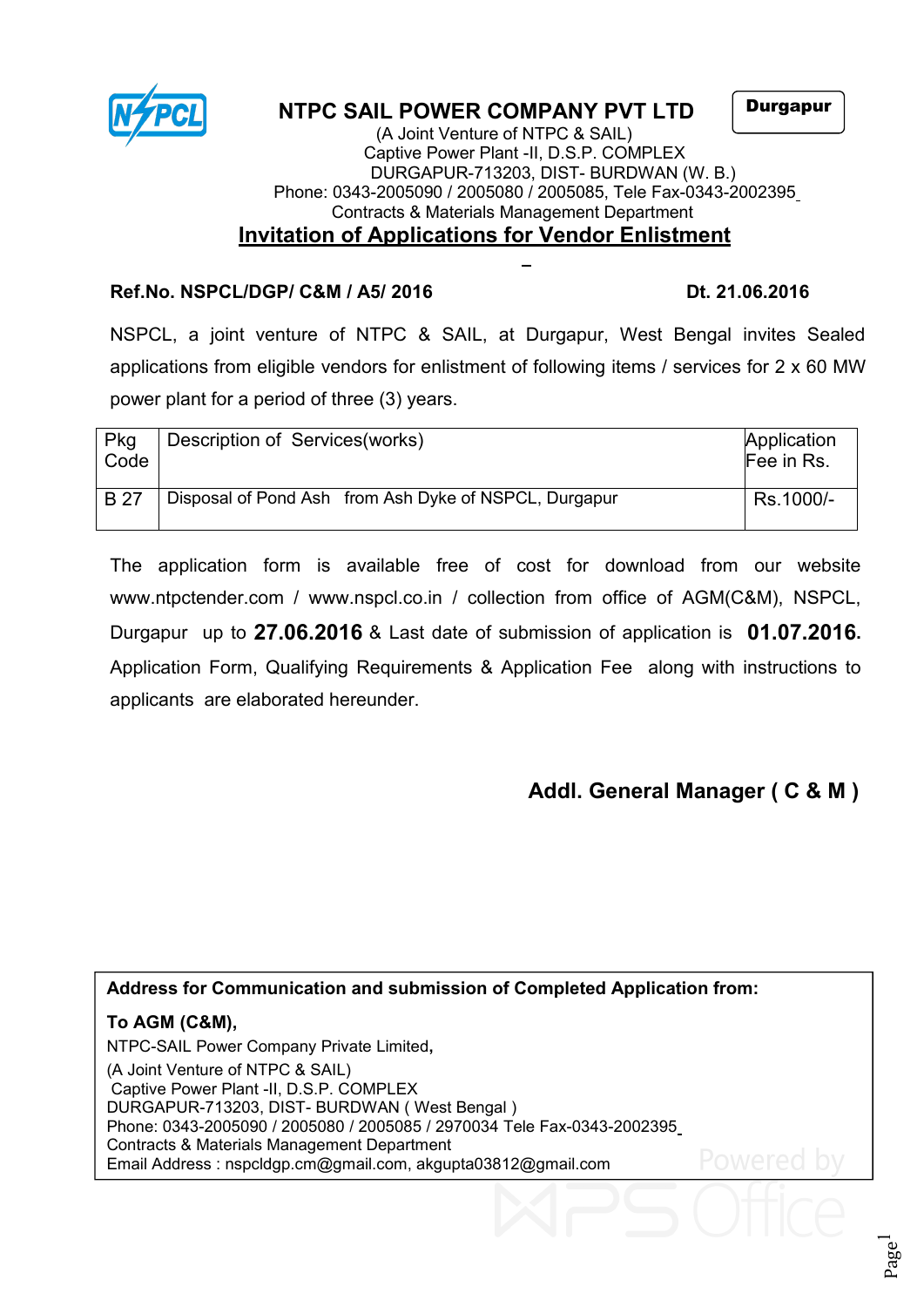

# **NTPC SAIL POWER COMPANY PVT LTD**

Durgapur

#### (A Joint Venture of NTPC & SAIL) Captive Power Plant -II, D.S.P. COMPLEX DURGAPUR-713203, DIST- BURDWAN (W. B.) Phone: 0343-2005090 / 2005080 /2005085, Tele Fax-0343-2002395 Contracts & Materials Management Department **Invitation of Applications for Vendor Enlistment**

## **Ref.No. NSPCL/DGP/ C&M / A5/ 2016 Dt. 21.06.2016**

NSPCL, a joint venture of NTPC & SAIL, at Durgapur, West Bengal invites Sealed applications from eligible vendors for enlistment of following items / services for 2 x 60 MW power plant for a period of three (3) years.

| Pkg<br>Code | Description of Services (works)                       | Application<br>Fee in Rs. |
|-------------|-------------------------------------------------------|---------------------------|
| <b>B</b> 27 | Disposal of Pond Ash from Ash Dyke of NSPCL, Durgapur | Rs.1000/-                 |

The application form is available free of cost for download from our website [www.ntpctender.com](http://www.ntpctender.com) / www.nspcl.co.in / collection from office of AGM(C&M), NSPCL, Durgapur up to **27.06.2016** & Last date of submission of application is **01.07.2016.** Application Form, Qualifying Requirements & Application Fee along with instructions to applicants are elaborated hereunder.

# **Addl. General Manager ( C & M )**

### **Address for Communication and submission of Completed Application from:**

## **To AGM (C&M),**

NTPC-SAIL Power Company Private Limited**,** (A Joint Venture of NTPC & SAIL) Captive Power Plant -II, D.S.P. COMPLEX DURGAPUR-713203, DIST- BURDWAN ( West Bengal ) Phone: 0343-2005090 / 2005080 / 2005085 / 2970034 Tele Fax-0343-2002395 Contracts & Materials Management Department Email Address : [nspcldgp.cm@gmail.com,](mailto:nspcldgp.cm@gmail.com) akgupta03812@gmail.com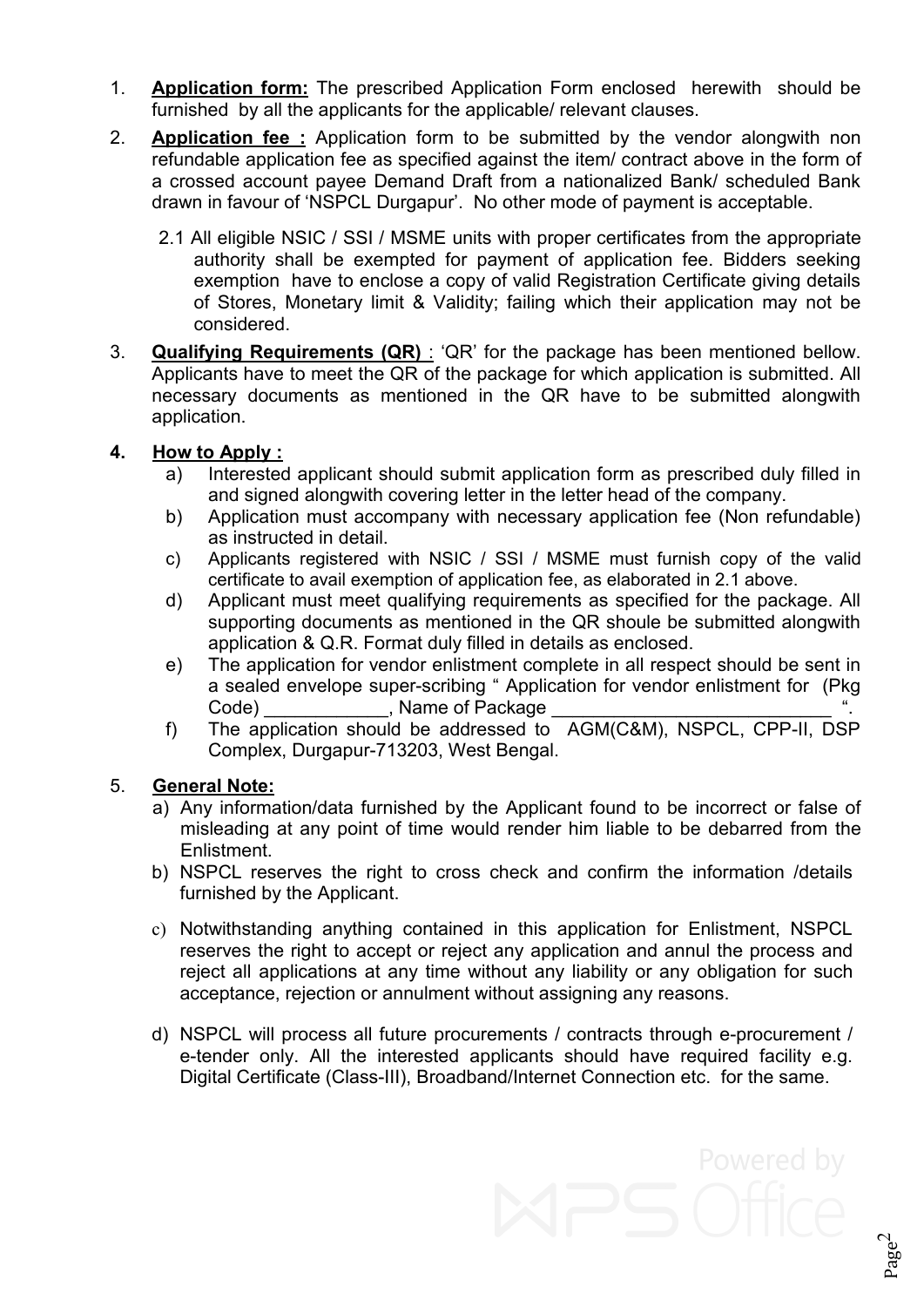- 1. **Application form:** The prescribed Application Form enclosed herewith should be furnished by all the applicants for the applicable/ relevant clauses.
- 2. **Application fee :** Application form to be submitted by the vendor alongwith non refundable application fee as specified against the item/ contract above in the form of a crossed account payee Demand Draft from a nationalized Bank/ scheduled Bank drawn in favour of 'NSPCL Durgapur'. No other mode of payment is acceptable.
	- 2.1 All eligible NSIC / SSI/ MSME units with proper certificates from the appropriate authority shall be exempted for payment of application fee. Bidders seeking exemption have to enclose a copy of valid Registration Certificate giving details of Stores, Monetary limit & Validity; failing which their application may not be considered.
- 3. **Qualifying Requirements (QR)** : 'QR' for the package has been mentioned bellow. Applicants have to meet the QR of the package for which application is submitted. All necessary documents as mentioned in the QR have to be submitted alongwith application.

### **4. How to Apply :**

- a) Interested applicant should submit application form as prescribed duly filled in and signed alongwith covering letter in the letter head of the company.
- b) Application must accompany with necessary application fee (Non refundable) as instructed in detail.
- c) Applicants registered with NSIC / SSI / MSME must furnish copy of the valid certificate to avail exemption of application fee, as elaborated in 2.1 above.
- d) Applicant must meet qualifying requirements as specified for the package. All supporting documents as mentioned in the QR shoule be submitted alongwith application & Q.R. Format duly filled in details as enclosed.
- e) The application for vendor enlistment complete in all respect should be sent in a sealed envelope super-scribing " Application for vendor enlistment for (Pkg Code) The Reference Code Code  $\sim$  . Name of Package
- f) The application should be addressed to AGM(C&M), NSPCL, CPP-II, DSP Complex, Durgapur-713203, West Bengal.

### 5. **General Note:**

- a) Any information/data furnished by the Applicant found to be incorrect or false of misleading at any point of time would render him liable to be debarred from the Enlistment.
- b) NSPCL reserves the right to cross check and confirm the information /details furnished by the Applicant.
- c) Notwithstanding anything contained in this application for Enlistment, NSPCL reserves the right to accept or reject any application and annul the process and reject all applications at any time without any liability or any obligation for such acceptance, rejection or annulment without assigning any reasons.
- d) NSPCL will process all future procurements / contracts through e-procurement / e-tender only. All the interested applicants should have required facility e.g. Digital Certificate (Class-III), Broadband/Internet Connection etc. for the same.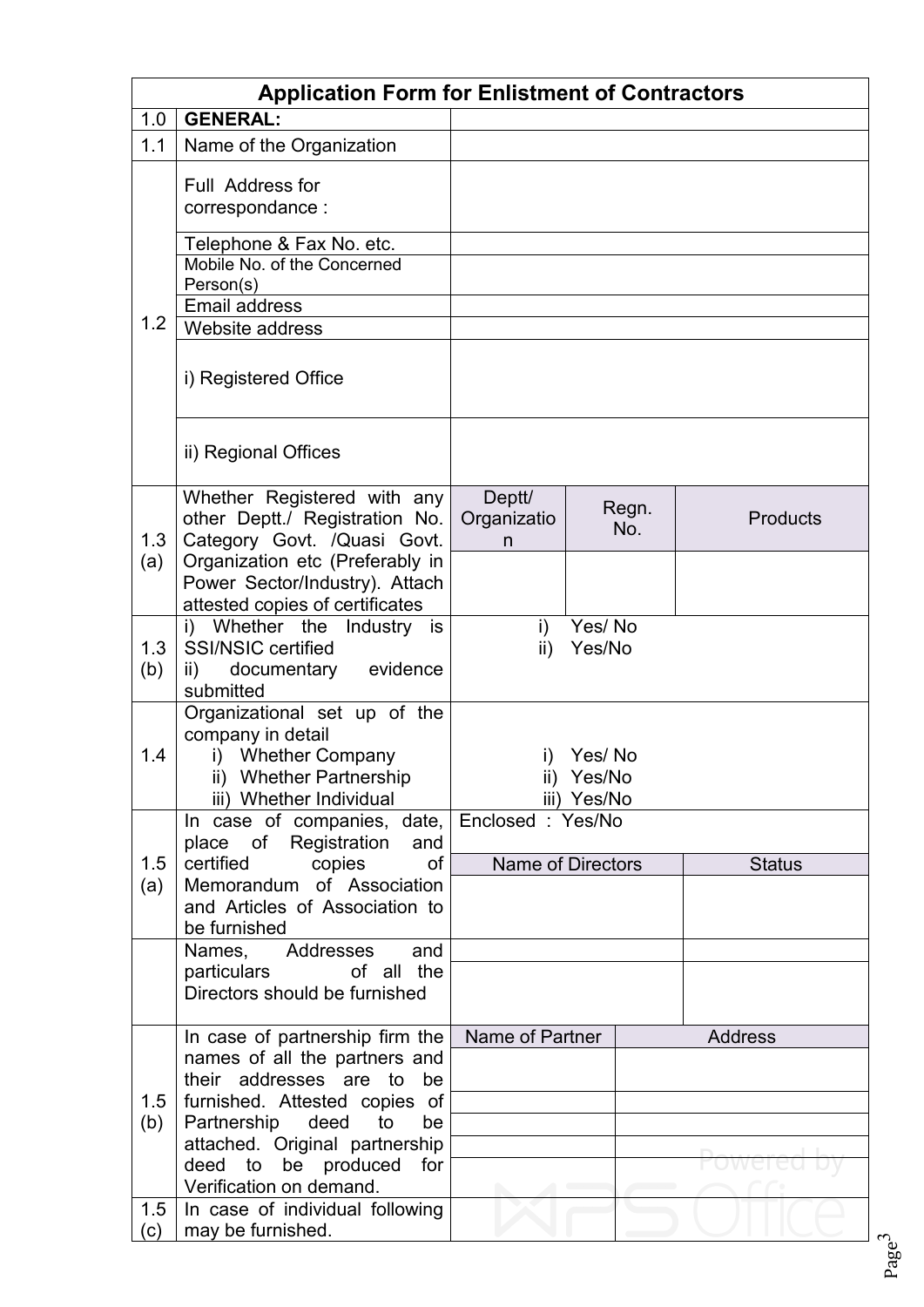|     | <b>Application Form for Enlistment of Contractors</b>         |                                           |                  |                 |  |  |
|-----|---------------------------------------------------------------|-------------------------------------------|------------------|-----------------|--|--|
| 1.0 | <b>GENERAL:</b>                                               |                                           |                  |                 |  |  |
| 1.1 | Name of the Organization                                      |                                           |                  |                 |  |  |
|     | Full Address for<br>correspondance:                           |                                           |                  |                 |  |  |
|     | Telephone & Fax No. etc.                                      |                                           |                  |                 |  |  |
| 1.2 | Mobile No. of the Concerned<br>Person(s)                      |                                           |                  |                 |  |  |
|     | <b>Email address</b>                                          |                                           |                  |                 |  |  |
|     | Website address                                               |                                           |                  |                 |  |  |
|     | i) Registered Office                                          |                                           |                  |                 |  |  |
|     | ii) Regional Offices                                          |                                           |                  |                 |  |  |
|     | Whether Registered with any                                   | Deptt/                                    | Regn.            |                 |  |  |
| 1.3 | other Deptt./ Registration No.<br>Category Govt. /Quasi Govt. | Organizatio<br>n                          | No.              | <b>Products</b> |  |  |
| (a) | Organization etc (Preferably in                               |                                           |                  |                 |  |  |
|     | Power Sector/Industry). Attach                                |                                           |                  |                 |  |  |
|     | attested copies of certificates                               |                                           |                  |                 |  |  |
| 1.3 | i) Whether the<br>Industry is<br><b>SSI/NSIC certified</b>    | i)<br>$\mathsf{ii}$                       | Yes/No<br>Yes/No |                 |  |  |
| (b) | evidence<br>documentary<br>ii)                                |                                           |                  |                 |  |  |
|     | submitted                                                     |                                           |                  |                 |  |  |
|     | Organizational set up of the                                  |                                           |                  |                 |  |  |
| 1.4 | company in detail<br><b>Whether Company</b><br>i)             | i)                                        | Yes/No           |                 |  |  |
|     | ii) Whether Partnership                                       |                                           | ii) Yes/No       |                 |  |  |
|     | iii) Whether Individual                                       | iii) Yes/No                               |                  |                 |  |  |
|     | In case of companies, date, Enclosed : Yes/No                 |                                           |                  |                 |  |  |
| 1.5 | place of<br>Registration<br>and<br>of<br>certified<br>copies  |                                           |                  |                 |  |  |
| (a) | Memorandum of Association                                     | <b>Name of Directors</b><br><b>Status</b> |                  |                 |  |  |
|     | and Articles of Association to                                |                                           |                  |                 |  |  |
|     | be furnished                                                  |                                           |                  |                 |  |  |
|     | Addresses<br>and<br>Names,<br>particulars<br>of all the       |                                           |                  |                 |  |  |
|     | Directors should be furnished                                 |                                           |                  |                 |  |  |
|     |                                                               |                                           |                  |                 |  |  |
|     | In case of partnership firm the                               | Name of Partner                           |                  | <b>Address</b>  |  |  |
|     | names of all the partners and<br>their addresses are to<br>be |                                           |                  |                 |  |  |
| 1.5 | furnished. Attested copies of                                 |                                           |                  |                 |  |  |
| (b) | Partnership<br>deed<br>to<br>be                               |                                           |                  |                 |  |  |
|     | attached. Original partnership                                |                                           |                  |                 |  |  |
|     | deed to be produced<br>for<br>Verification on demand.         |                                           |                  |                 |  |  |
| 1.5 | In case of individual following                               |                                           |                  |                 |  |  |
| (c) | may be furnished.                                             |                                           |                  |                 |  |  |

Page 3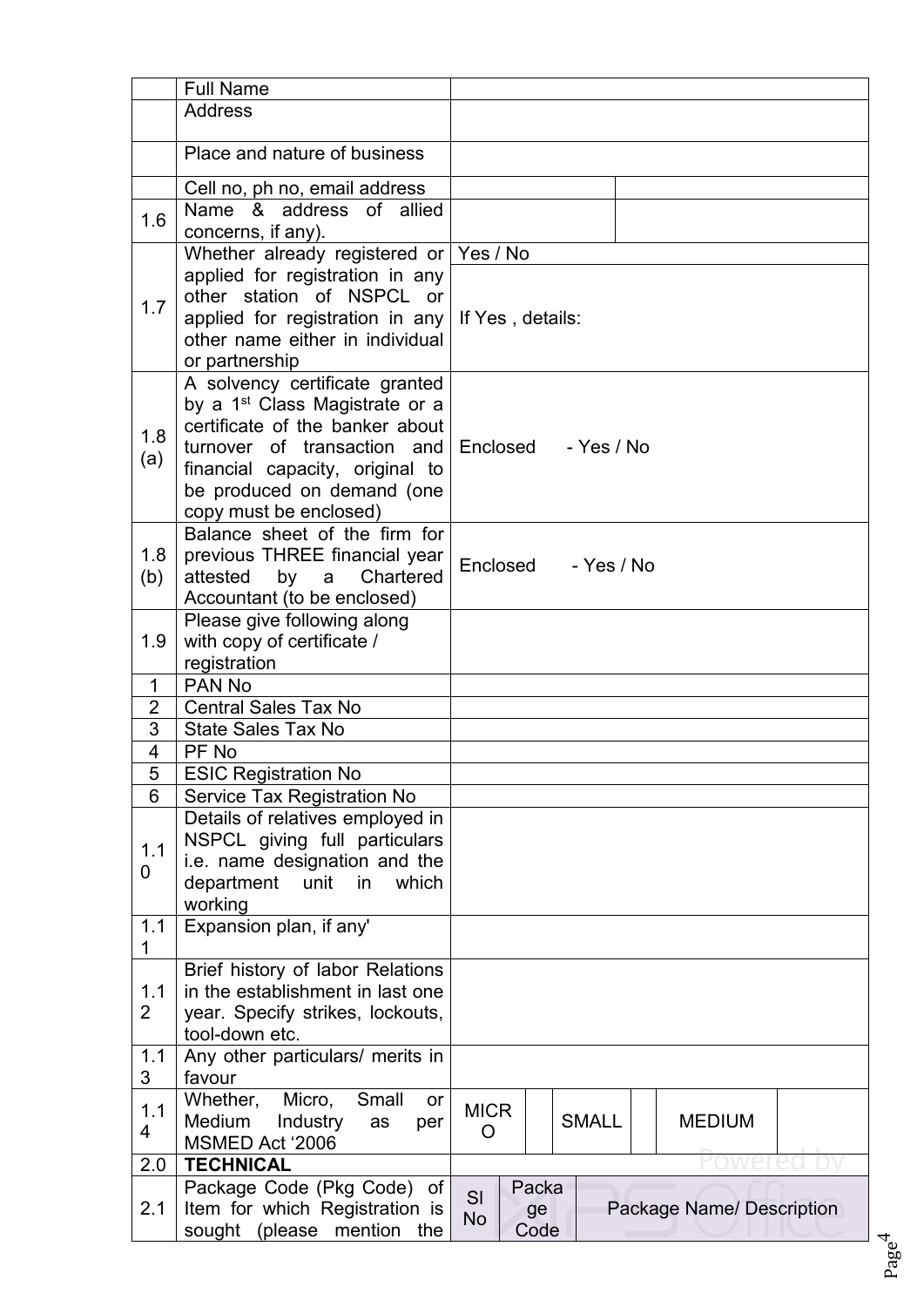|                       | <b>Full Name</b>                                                                                                                                                                                                                          |                                                                     |
|-----------------------|-------------------------------------------------------------------------------------------------------------------------------------------------------------------------------------------------------------------------------------------|---------------------------------------------------------------------|
|                       | <b>Address</b>                                                                                                                                                                                                                            |                                                                     |
|                       | Place and nature of business                                                                                                                                                                                                              |                                                                     |
|                       | Cell no, ph no, email address                                                                                                                                                                                                             |                                                                     |
|                       | Name & address of allied                                                                                                                                                                                                                  |                                                                     |
| 1.6                   | concerns, if any).                                                                                                                                                                                                                        |                                                                     |
|                       | Whether already registered or Yes / No                                                                                                                                                                                                    |                                                                     |
| 1.7                   | applied for registration in any<br>other station of NSPCL or<br>applied for registration in any<br>other name either in individual<br>or partnership                                                                                      | If Yes, details:                                                    |
| 1.8<br>(a)            | A solvency certificate granted<br>by a 1 <sup>st</sup> Class Magistrate or a<br>certificate of the banker about<br>turnover of transaction and<br>financial capacity, original to<br>be produced on demand (one<br>copy must be enclosed) | - Yes / No<br>Enclosed                                              |
| 1.8<br>(b)            | Balance sheet of the firm for<br>previous THREE financial year<br>Chartered<br>attested<br>by<br>a<br>Accountant (to be enclosed)                                                                                                         | Enclosed<br>- Yes / No                                              |
| 1.9                   | Please give following along<br>with copy of certificate /<br>registration                                                                                                                                                                 |                                                                     |
| $\mathbf{1}$          | PAN <sub>No</sub>                                                                                                                                                                                                                         |                                                                     |
| $\overline{2}$        | <b>Central Sales Tax No</b>                                                                                                                                                                                                               |                                                                     |
| 3                     | <b>State Sales Tax No</b>                                                                                                                                                                                                                 |                                                                     |
| 4                     | PF No                                                                                                                                                                                                                                     |                                                                     |
| 5                     | <b>ESIC Registration No</b>                                                                                                                                                                                                               |                                                                     |
| 6                     | Service Tax Registration No                                                                                                                                                                                                               |                                                                     |
| 1.1<br>0              | Details of relatives employed in<br>NSPCL giving full particulars<br>i.e. name designation and the<br>department unit in<br>which<br>working                                                                                              |                                                                     |
| 1.1<br>1              | Expansion plan, if any'                                                                                                                                                                                                                   |                                                                     |
| 1.1<br>$\overline{2}$ | Brief history of labor Relations<br>in the establishment in last one<br>year. Specify strikes, lockouts,<br>tool-down etc.                                                                                                                |                                                                     |
| 1.1<br>3              | Any other particulars/ merits in<br>favour                                                                                                                                                                                                |                                                                     |
| 1.1<br>4              | Micro,<br>Whether,<br>Small<br>or<br>Medium<br><b>Industry</b><br>as<br>per<br>MSMED Act '2006                                                                                                                                            | <b>MICR</b><br><b>SMALL</b><br><b>MEDIUM</b><br>O                   |
| 2.0                   | <b>TECHNICAL</b>                                                                                                                                                                                                                          |                                                                     |
| 2.1                   | Package Code (Pkg Code) of<br>Item for which Registration is<br>sought (please mention the                                                                                                                                                | Packa<br>SI<br>Package Name/ Description<br>ge<br><b>No</b><br>Code |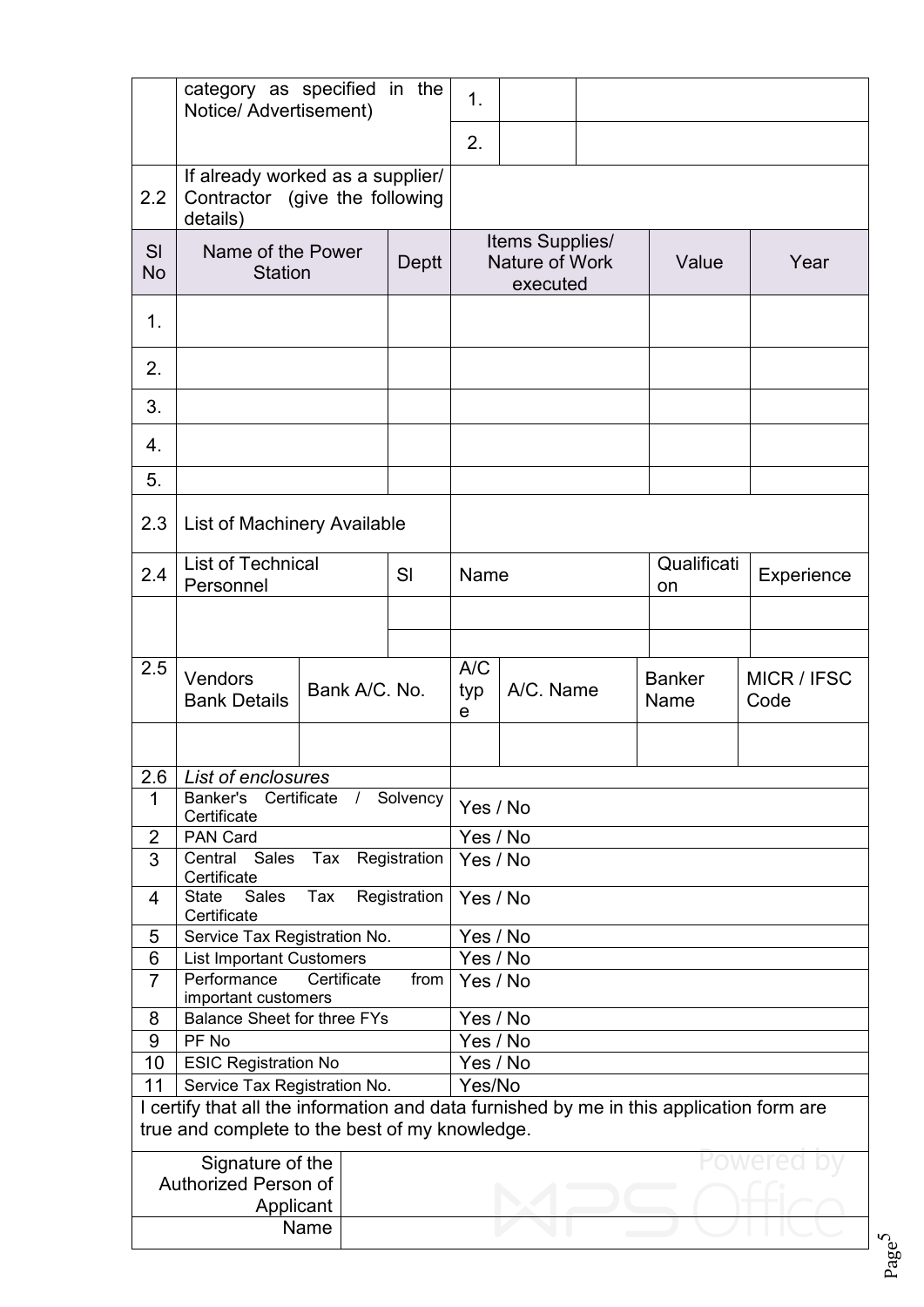|                 | category as specified in the<br>Notice/ Advertisement)                                                                                     |                                     |              | 1.                 |                                               |  |                       |                     |  |
|-----------------|--------------------------------------------------------------------------------------------------------------------------------------------|-------------------------------------|--------------|--------------------|-----------------------------------------------|--|-----------------------|---------------------|--|
|                 |                                                                                                                                            |                                     |              | 2.                 |                                               |  |                       |                     |  |
| 2.2             | If already worked as a supplier/<br>Contractor (give the following<br>details)                                                             |                                     |              |                    |                                               |  |                       |                     |  |
| SI<br><b>No</b> | Name of the Power<br><b>Station</b>                                                                                                        |                                     | Deptt        |                    | Items Supplies/<br>Nature of Work<br>executed |  | Value                 | Year                |  |
| 1.              |                                                                                                                                            |                                     |              |                    |                                               |  |                       |                     |  |
| 2.              |                                                                                                                                            |                                     |              |                    |                                               |  |                       |                     |  |
| 3.              |                                                                                                                                            |                                     |              |                    |                                               |  |                       |                     |  |
| 4.<br>5.        |                                                                                                                                            |                                     |              |                    |                                               |  |                       |                     |  |
| 2.3             | List of Machinery Available                                                                                                                |                                     |              |                    |                                               |  |                       |                     |  |
| 2.4             | List of Technical<br>Personnel                                                                                                             |                                     | SI           | Name               |                                               |  | Qualificati<br>on     | Experience          |  |
|                 |                                                                                                                                            |                                     |              |                    |                                               |  |                       |                     |  |
| 2.5             | Vendors<br><b>Bank Details</b>                                                                                                             | Bank A/C. No.                       |              | A/C<br>typ<br>е    | A/C. Name                                     |  | <b>Banker</b><br>Name | MICR / IFSC<br>Code |  |
|                 |                                                                                                                                            |                                     |              |                    |                                               |  |                       |                     |  |
| $\mathbf 1$     | 2.6 List of enclosures<br>Banker's<br>Certificate                                                                                          | Certificate<br>Solvency<br>Yes / No |              |                    |                                               |  |                       |                     |  |
| $\overline{2}$  | PAN Card                                                                                                                                   |                                     |              |                    | Yes / No                                      |  |                       |                     |  |
| 3               | Central Sales<br>Certificate                                                                                                               | Tax Registration                    |              |                    | Yes / No                                      |  |                       |                     |  |
| 4               | State<br>Sales<br>Certificate                                                                                                              | Tax                                 | Registration |                    | Yes / No                                      |  |                       |                     |  |
| 5               | Service Tax Registration No.                                                                                                               |                                     |              |                    | Yes / No                                      |  |                       |                     |  |
| $6\phantom{1}$  | <b>List Important Customers</b>                                                                                                            |                                     |              |                    | Yes / No                                      |  |                       |                     |  |
| $\overline{7}$  | Performance<br>important customers                                                                                                         | Certificate                         | from         | Yes / No           |                                               |  |                       |                     |  |
| 8               | <b>Balance Sheet for three FYs</b>                                                                                                         |                                     |              |                    | Yes / No                                      |  |                       |                     |  |
| 9               | PF No                                                                                                                                      |                                     |              | Yes / No           |                                               |  |                       |                     |  |
| 10 <sup>1</sup> | <b>ESIC Registration No</b>                                                                                                                |                                     |              | Yes / No<br>Yes/No |                                               |  |                       |                     |  |
| 11              | Service Tax Registration No.                                                                                                               |                                     |              |                    |                                               |  |                       |                     |  |
|                 | I certify that all the information and data furnished by me in this application form are<br>true and complete to the best of my knowledge. |                                     |              |                    |                                               |  |                       |                     |  |
|                 | Signature of the                                                                                                                           |                                     |              |                    |                                               |  |                       |                     |  |
|                 | Authorized Person of                                                                                                                       |                                     |              |                    |                                               |  |                       |                     |  |
|                 | Applicant                                                                                                                                  |                                     |              |                    |                                               |  |                       |                     |  |
|                 |                                                                                                                                            | Name                                |              |                    |                                               |  |                       |                     |  |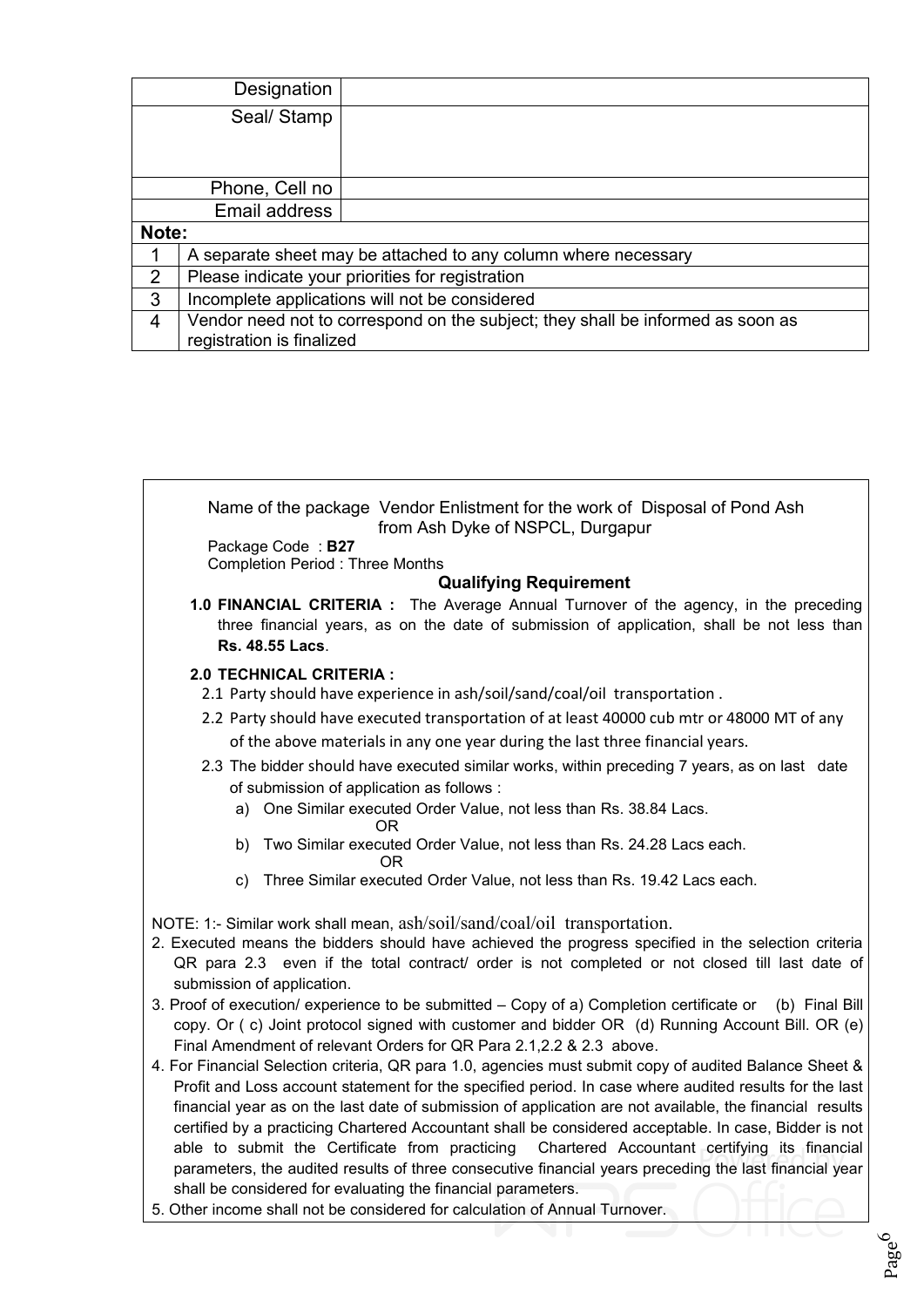|                | Designation                                                                                                  |  |  |  |  |  |
|----------------|--------------------------------------------------------------------------------------------------------------|--|--|--|--|--|
|                | Seal/Stamp                                                                                                   |  |  |  |  |  |
|                |                                                                                                              |  |  |  |  |  |
|                |                                                                                                              |  |  |  |  |  |
|                | Phone, Cell no                                                                                               |  |  |  |  |  |
|                | Email address                                                                                                |  |  |  |  |  |
| Note:          |                                                                                                              |  |  |  |  |  |
|                | A separate sheet may be attached to any column where necessary                                               |  |  |  |  |  |
| $\overline{2}$ | Please indicate your priorities for registration                                                             |  |  |  |  |  |
| 3              | Incomplete applications will not be considered                                                               |  |  |  |  |  |
| $\overline{4}$ | Vendor need not to correspond on the subject; they shall be informed as soon as<br>registration is finalized |  |  |  |  |  |



5. Other income shall not be considered for calculation of Annual Turnover.